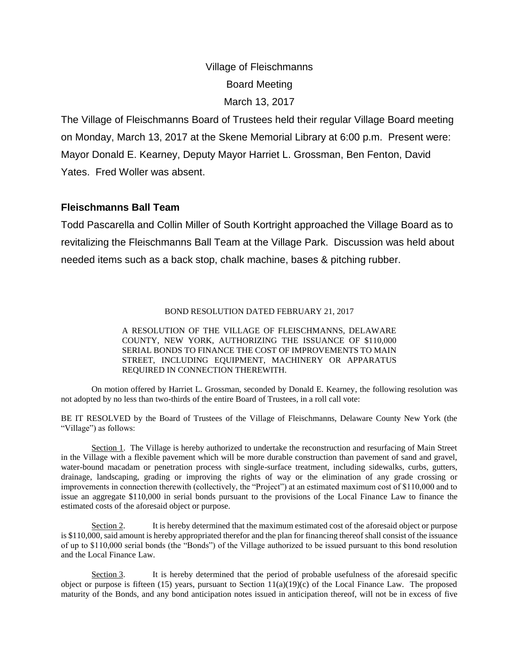# Village of Fleischmanns Board Meeting March 13, 2017

The Village of Fleischmanns Board of Trustees held their regular Village Board meeting on Monday, March 13, 2017 at the Skene Memorial Library at 6:00 p.m. Present were: Mayor Donald E. Kearney, Deputy Mayor Harriet L. Grossman, Ben Fenton, David Yates. Fred Woller was absent.

## **Fleischmanns Ball Team**

Todd Pascarella and Collin Miller of South Kortright approached the Village Board as to revitalizing the Fleischmanns Ball Team at the Village Park. Discussion was held about needed items such as a back stop, chalk machine, bases & pitching rubber.

#### BOND RESOLUTION DATED FEBRUARY 21, 2017

A RESOLUTION OF THE VILLAGE OF FLEISCHMANNS, DELAWARE COUNTY, NEW YORK, AUTHORIZING THE ISSUANCE OF \$110,000 SERIAL BONDS TO FINANCE THE COST OF IMPROVEMENTS TO MAIN STREET, INCLUDING EQUIPMENT, MACHINERY OR APPARATUS REQUIRED IN CONNECTION THEREWITH.

On motion offered by Harriet L. Grossman, seconded by Donald E. Kearney, the following resolution was not adopted by no less than two-thirds of the entire Board of Trustees, in a roll call vote:

BE IT RESOLVED by the Board of Trustees of the Village of Fleischmanns, Delaware County New York (the "Village") as follows:

Section 1. The Village is hereby authorized to undertake the reconstruction and resurfacing of Main Street in the Village with a flexible pavement which will be more durable construction than pavement of sand and gravel, water-bound macadam or penetration process with single-surface treatment, including sidewalks, curbs, gutters, drainage, landscaping, grading or improving the rights of way or the elimination of any grade crossing or improvements in connection therewith (collectively, the "Project") at an estimated maximum cost of \$110,000 and to issue an aggregate \$110,000 in serial bonds pursuant to the provisions of the Local Finance Law to finance the estimated costs of the aforesaid object or purpose.

Section 2. It is hereby determined that the maximum estimated cost of the aforesaid object or purpose is \$110,000, said amount is hereby appropriated therefor and the plan for financing thereof shall consist of the issuance of up to \$110,000 serial bonds (the "Bonds") of the Village authorized to be issued pursuant to this bond resolution and the Local Finance Law.

Section 3. It is hereby determined that the period of probable usefulness of the aforesaid specific object or purpose is fifteen  $(15)$  years, pursuant to Section  $11(a)(19)(c)$  of the Local Finance Law. The proposed maturity of the Bonds, and any bond anticipation notes issued in anticipation thereof, will not be in excess of five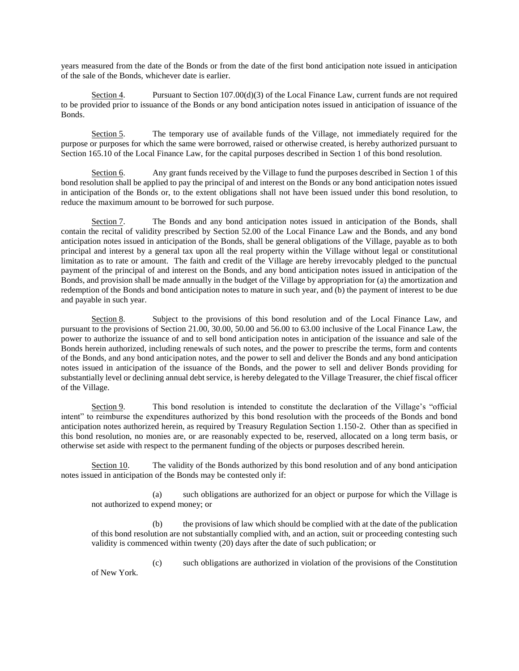years measured from the date of the Bonds or from the date of the first bond anticipation note issued in anticipation of the sale of the Bonds, whichever date is earlier.

Section 4. Pursuant to Section 107.00(d)(3) of the Local Finance Law, current funds are not required to be provided prior to issuance of the Bonds or any bond anticipation notes issued in anticipation of issuance of the Bonds.

Section 5. The temporary use of available funds of the Village, not immediately required for the purpose or purposes for which the same were borrowed, raised or otherwise created, is hereby authorized pursuant to Section 165.10 of the Local Finance Law, for the capital purposes described in Section 1 of this bond resolution.

Section 6. Any grant funds received by the Village to fund the purposes described in Section 1 of this bond resolution shall be applied to pay the principal of and interest on the Bonds or any bond anticipation notes issued in anticipation of the Bonds or, to the extent obligations shall not have been issued under this bond resolution, to reduce the maximum amount to be borrowed for such purpose.

Section 7. The Bonds and any bond anticipation notes issued in anticipation of the Bonds, shall contain the recital of validity prescribed by Section 52.00 of the Local Finance Law and the Bonds, and any bond anticipation notes issued in anticipation of the Bonds, shall be general obligations of the Village, payable as to both principal and interest by a general tax upon all the real property within the Village without legal or constitutional limitation as to rate or amount. The faith and credit of the Village are hereby irrevocably pledged to the punctual payment of the principal of and interest on the Bonds, and any bond anticipation notes issued in anticipation of the Bonds, and provision shall be made annually in the budget of the Village by appropriation for (a) the amortization and redemption of the Bonds and bond anticipation notes to mature in such year, and (b) the payment of interest to be due and payable in such year.

Section 8. Subject to the provisions of this bond resolution and of the Local Finance Law, and pursuant to the provisions of Section 21.00, 30.00, 50.00 and 56.00 to 63.00 inclusive of the Local Finance Law, the power to authorize the issuance of and to sell bond anticipation notes in anticipation of the issuance and sale of the Bonds herein authorized, including renewals of such notes, and the power to prescribe the terms, form and contents of the Bonds, and any bond anticipation notes, and the power to sell and deliver the Bonds and any bond anticipation notes issued in anticipation of the issuance of the Bonds, and the power to sell and deliver Bonds providing for substantially level or declining annual debt service, is hereby delegated to the Village Treasurer, the chief fiscal officer of the Village.

Section 9. This bond resolution is intended to constitute the declaration of the Village's "official intent" to reimburse the expenditures authorized by this bond resolution with the proceeds of the Bonds and bond anticipation notes authorized herein, as required by Treasury Regulation Section 1.150-2. Other than as specified in this bond resolution, no monies are, or are reasonably expected to be, reserved, allocated on a long term basis, or otherwise set aside with respect to the permanent funding of the objects or purposes described herein.

Section 10. The validity of the Bonds authorized by this bond resolution and of any bond anticipation notes issued in anticipation of the Bonds may be contested only if:

(a) such obligations are authorized for an object or purpose for which the Village is not authorized to expend money; or

(b) the provisions of law which should be complied with at the date of the publication of this bond resolution are not substantially complied with, and an action, suit or proceeding contesting such validity is commenced within twenty (20) days after the date of such publication; or

(c) such obligations are authorized in violation of the provisions of the Constitution of New York.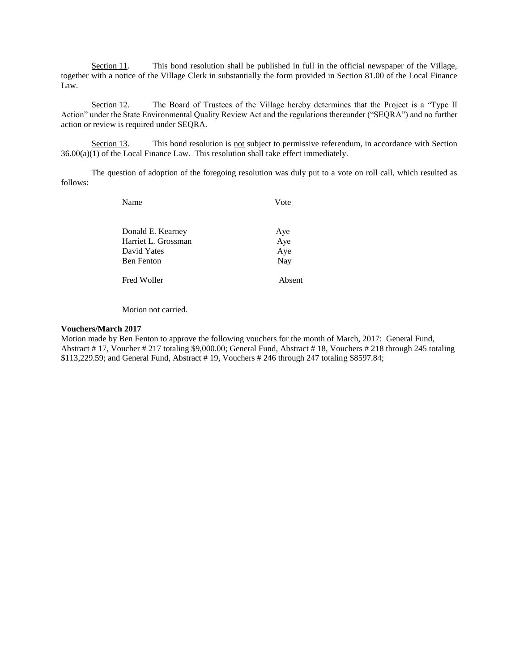Section 11. This bond resolution shall be published in full in the official newspaper of the Village, together with a notice of the Village Clerk in substantially the form provided in Section 81.00 of the Local Finance Law.

Section 12. The Board of Trustees of the Village hereby determines that the Project is a "Type II Action" under the State Environmental Quality Review Act and the regulations thereunder ("SEQRA") and no further action or review is required under SEQRA.

Section 13. This bond resolution is not subject to permissive referendum, in accordance with Section 36.00(a)(1) of the Local Finance Law. This resolution shall take effect immediately.

The question of adoption of the foregoing resolution was duly put to a vote on roll call, which resulted as follows:

| Name                | ote    |
|---------------------|--------|
| Donald E. Kearney   | Aye    |
| Harriet L. Grossman | Aye    |
| David Yates         | Aye    |
| <b>Ben Fenton</b>   | Nay    |
| Fred Woller         | Absent |

Motion not carried.

#### **Vouchers/March 2017**

Motion made by Ben Fenton to approve the following vouchers for the month of March, 2017: General Fund, Abstract # 17, Voucher # 217 totaling \$9,000.00; General Fund, Abstract # 18, Vouchers # 218 through 245 totaling \$113,229.59; and General Fund, Abstract # 19, Vouchers # 246 through 247 totaling \$8597.84;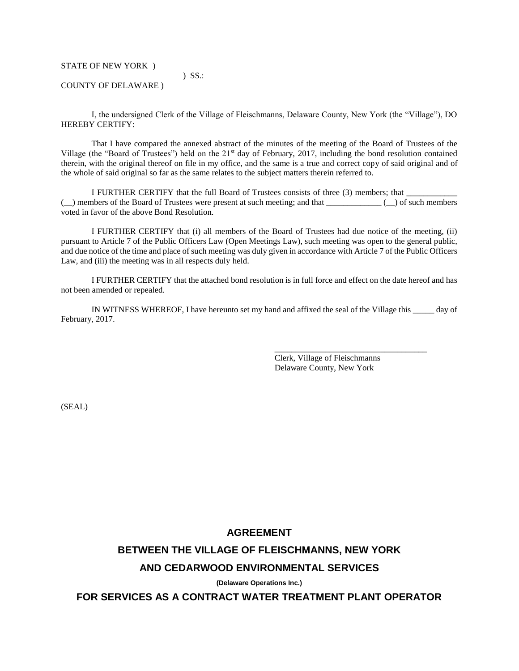STATE OF NEW YORK )

COUNTY OF DELAWARE )

I, the undersigned Clerk of the Village of Fleischmanns, Delaware County, New York (the "Village"), DO HEREBY CERTIFY:

) SS.:

That I have compared the annexed abstract of the minutes of the meeting of the Board of Trustees of the Village (the "Board of Trustees") held on the 21<sup>st</sup> day of February, 2017, including the bond resolution contained therein, with the original thereof on file in my office, and the same is a true and correct copy of said original and of the whole of said original so far as the same relates to the subject matters therein referred to.

I FURTHER CERTIFY that the full Board of Trustees consists of three (3) members; that  $\Box$  members of the Board of Trustees were present at such meeting; and that  $\Box$ voted in favor of the above Bond Resolution.

I FURTHER CERTIFY that (i) all members of the Board of Trustees had due notice of the meeting, (ii) pursuant to Article 7 of the Public Officers Law (Open Meetings Law), such meeting was open to the general public, and due notice of the time and place of such meeting was duly given in accordance with Article 7 of the Public Officers Law, and (iii) the meeting was in all respects duly held.

I FURTHER CERTIFY that the attached bond resolution is in full force and effect on the date hereof and has not been amended or repealed.

IN WITNESS WHEREOF, I have hereunto set my hand and affixed the seal of the Village this \_\_\_\_\_ day of February, 2017.

> Clerk, Village of Fleischmanns Delaware County, New York

\_\_\_\_\_\_\_\_\_\_\_\_\_\_\_\_\_\_\_\_\_\_\_\_\_\_\_\_\_\_\_\_\_\_\_\_

(SEAL)

### **AGREEMENT**

## **BETWEEN THE VILLAGE OF FLEISCHMANNS, NEW YORK**

#### **AND CEDARWOOD ENVIRONMENTAL SERVICES**

**(Delaware Operations Inc.)**

**FOR SERVICES AS A CONTRACT WATER TREATMENT PLANT OPERATOR**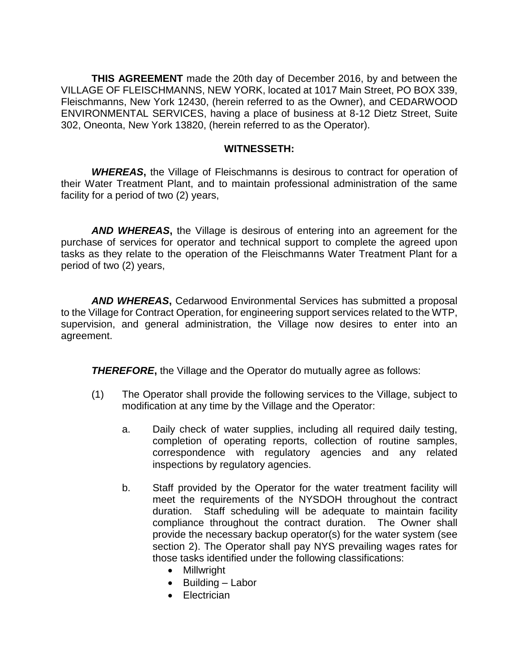**THIS AGREEMENT** made the 20th day of December 2016, by and between the VILLAGE OF FLEISCHMANNS, NEW YORK, located at 1017 Main Street, PO BOX 339, Fleischmanns, New York 12430, (herein referred to as the Owner), and CEDARWOOD ENVIRONMENTAL SERVICES, having a place of business at 8-12 Dietz Street, Suite 302, Oneonta, New York 13820, (herein referred to as the Operator).

## **WITNESSETH:**

*WHEREAS***,** the Village of Fleischmanns is desirous to contract for operation of their Water Treatment Plant, and to maintain professional administration of the same facility for a period of two (2) years,

*AND WHEREAS***,** the Village is desirous of entering into an agreement for the purchase of services for operator and technical support to complete the agreed upon tasks as they relate to the operation of the Fleischmanns Water Treatment Plant for a period of two (2) years,

*AND WHEREAS***,** Cedarwood Environmental Services has submitted a proposal to the Village for Contract Operation, for engineering support services related to the WTP, supervision, and general administration, the Village now desires to enter into an agreement.

*THEREFORE***,** the Village and the Operator do mutually agree as follows:

- (1) The Operator shall provide the following services to the Village, subject to modification at any time by the Village and the Operator:
	- a. Daily check of water supplies, including all required daily testing, completion of operating reports, collection of routine samples, correspondence with regulatory agencies and any related inspections by regulatory agencies.
	- b. Staff provided by the Operator for the water treatment facility will meet the requirements of the NYSDOH throughout the contract duration. Staff scheduling will be adequate to maintain facility compliance throughout the contract duration. The Owner shall provide the necessary backup operator(s) for the water system (see section 2). The Operator shall pay NYS prevailing wages rates for those tasks identified under the following classifications:
		- Millwright
		- $\bullet$  Building Labor
		- **•** Electrician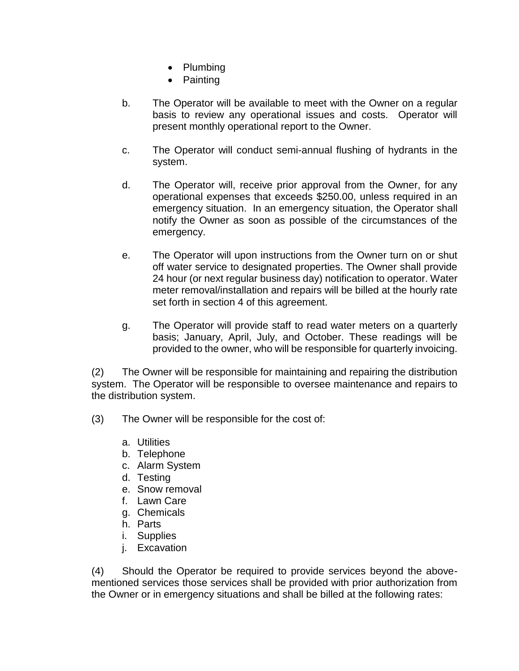- Plumbing
- Painting
- b. The Operator will be available to meet with the Owner on a regular basis to review any operational issues and costs. Operator will present monthly operational report to the Owner.
- c. The Operator will conduct semi-annual flushing of hydrants in the system.
- d. The Operator will, receive prior approval from the Owner, for any operational expenses that exceeds \$250.00, unless required in an emergency situation. In an emergency situation, the Operator shall notify the Owner as soon as possible of the circumstances of the emergency.
- e. The Operator will upon instructions from the Owner turn on or shut off water service to designated properties. The Owner shall provide 24 hour (or next regular business day) notification to operator. Water meter removal/installation and repairs will be billed at the hourly rate set forth in section 4 of this agreement.
- g. The Operator will provide staff to read water meters on a quarterly basis; January, April, July, and October. These readings will be provided to the owner, who will be responsible for quarterly invoicing.

(2) The Owner will be responsible for maintaining and repairing the distribution system. The Operator will be responsible to oversee maintenance and repairs to the distribution system.

- (3) The Owner will be responsible for the cost of:
	- a. Utilities
	- b. Telephone
	- c. Alarm System
	- d. Testing
	- e. Snow removal
	- f. Lawn Care
	- g. Chemicals
	- h. Parts
	- i. Supplies
	- j. Excavation

(4) Should the Operator be required to provide services beyond the abovementioned services those services shall be provided with prior authorization from the Owner or in emergency situations and shall be billed at the following rates: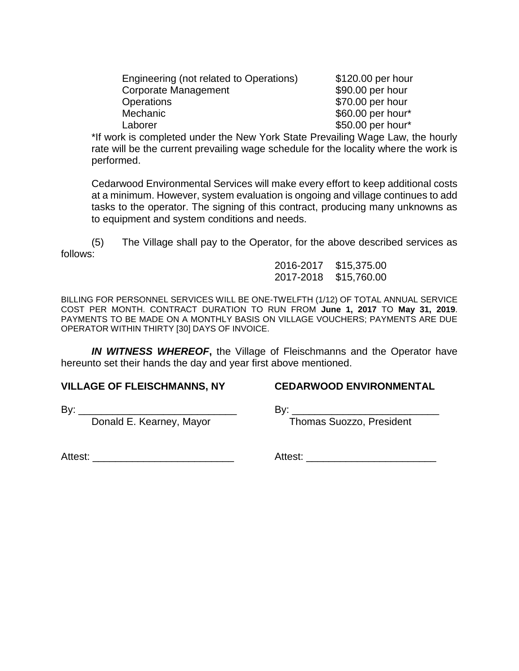| Engineering (not related to Operations) | \$120.00 per hour |
|-----------------------------------------|-------------------|
| Corporate Management                    | \$90.00 per hour  |
| <b>Operations</b>                       | \$70.00 per hour  |
| Mechanic                                | \$60.00 per hour* |
| Laborer                                 | \$50.00 per hour* |

\*If work is completed under the New York State Prevailing Wage Law, the hourly rate will be the current prevailing wage schedule for the locality where the work is performed.

Cedarwood Environmental Services will make every effort to keep additional costs at a minimum. However, system evaluation is ongoing and village continues to add tasks to the operator. The signing of this contract, producing many unknowns as to equipment and system conditions and needs.

(5) The Village shall pay to the Operator, for the above described services as follows:

> 2016-2017 \$15,375.00 2017-2018 \$15,760.00

BILLING FOR PERSONNEL SERVICES WILL BE ONE-TWELFTH (1/12) OF TOTAL ANNUAL SERVICE COST PER MONTH. CONTRACT DURATION TO RUN FROM **June 1, 2017** TO **May 31, 2019**. PAYMENTS TO BE MADE ON A MONTHLY BASIS ON VILLAGE VOUCHERS; PAYMENTS ARE DUE OPERATOR WITHIN THIRTY [30] DAYS OF INVOICE.

*IN WITNESS WHEREOF***,** the Village of Fleischmanns and the Operator have hereunto set their hands the day and year first above mentioned.

## **VILLAGE OF FLEISCHMANNS, NY CEDARWOOD ENVIRONMENTAL**

By:  $\frac{1}{2}$  By:  $\frac{1}{2}$  By:

Donald E. Kearney, Mayor Thomas Suozzo, President

Attest: <u>and the set of the set of the set of the set of the set of the set of the set of the set of the set of the set of the set of the set of the set of the set of the set of the set of the set of the set of the set of </u>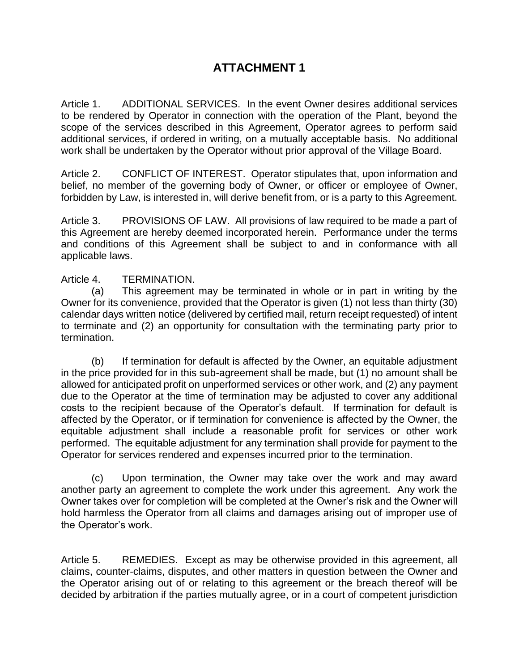## **ATTACHMENT 1**

Article 1. ADDITIONAL SERVICES. In the event Owner desires additional services to be rendered by Operator in connection with the operation of the Plant, beyond the scope of the services described in this Agreement, Operator agrees to perform said additional services, if ordered in writing, on a mutually acceptable basis. No additional work shall be undertaken by the Operator without prior approval of the Village Board.

Article 2. CONFLICT OF INTEREST. Operator stipulates that, upon information and belief, no member of the governing body of Owner, or officer or employee of Owner, forbidden by Law, is interested in, will derive benefit from, or is a party to this Agreement.

Article 3. PROVISIONS OF LAW. All provisions of law required to be made a part of this Agreement are hereby deemed incorporated herein. Performance under the terms and conditions of this Agreement shall be subject to and in conformance with all applicable laws.

## Article 4. TERMINATION.

(a) This agreement may be terminated in whole or in part in writing by the Owner for its convenience, provided that the Operator is given (1) not less than thirty (30) calendar days written notice (delivered by certified mail, return receipt requested) of intent to terminate and (2) an opportunity for consultation with the terminating party prior to termination.

(b) If termination for default is affected by the Owner, an equitable adjustment in the price provided for in this sub-agreement shall be made, but (1) no amount shall be allowed for anticipated profit on unperformed services or other work, and (2) any payment due to the Operator at the time of termination may be adjusted to cover any additional costs to the recipient because of the Operator's default. If termination for default is affected by the Operator, or if termination for convenience is affected by the Owner, the equitable adjustment shall include a reasonable profit for services or other work performed. The equitable adjustment for any termination shall provide for payment to the Operator for services rendered and expenses incurred prior to the termination.

(c) Upon termination, the Owner may take over the work and may award another party an agreement to complete the work under this agreement. Any work the Owner takes over for completion will be completed at the Owner's risk and the Owner will hold harmless the Operator from all claims and damages arising out of improper use of the Operator's work.

Article 5. REMEDIES. Except as may be otherwise provided in this agreement, all claims, counter-claims, disputes, and other matters in question between the Owner and the Operator arising out of or relating to this agreement or the breach thereof will be decided by arbitration if the parties mutually agree, or in a court of competent jurisdiction